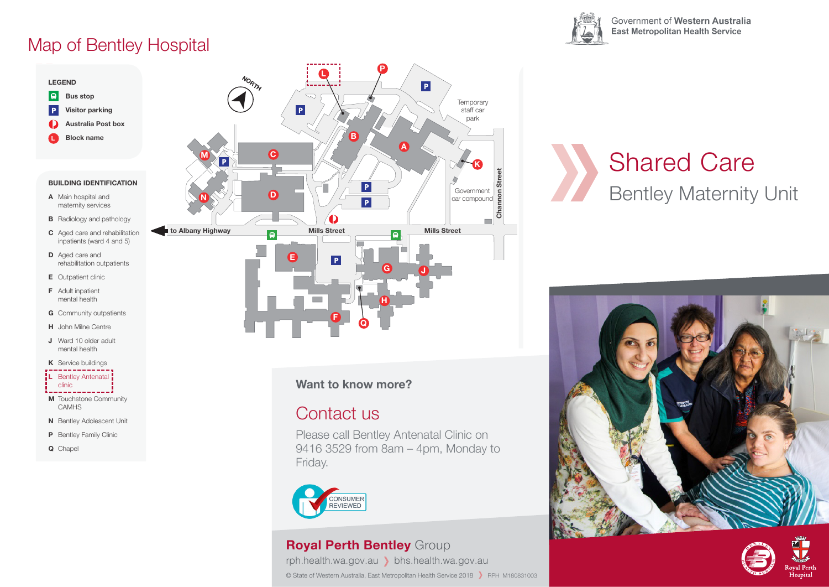## Map of Bentley Hospital

**LEGEND LEGEND**

**L**



**Want to know more?**

#### Contact us

Please call Bentley Antenatal Clinic on 9416 3529 from 8am – 4pm, Monday to Friday.



#### **Royal Perth Bentley** Group

rph.health.wa.gov.au bhs.health.wa.gov.au © State of Western Australia, East Metropolitan Health Service 2018 > RPH M180831003



mental health

Government of Western Australia **East Metropolitan Health Service** 

**D** Aged care and rehabilitation outpatients **E** Outpatient clinic **F** Adult inpatient mental health rehabilitation outpatients Shared Care Bentley Maternity Unit





#### **J** Ward 10 older adult mental health **K** Service buildings **L** Bentley Antenatal

**D** Aged care and

**F** Adult inpatient mental health

- clinic
- **M** Touchstone Community CAMHS
- **N** Bentley Adolescent Unit
- **P** Bentley Family Clinic
- **Q** Chapel